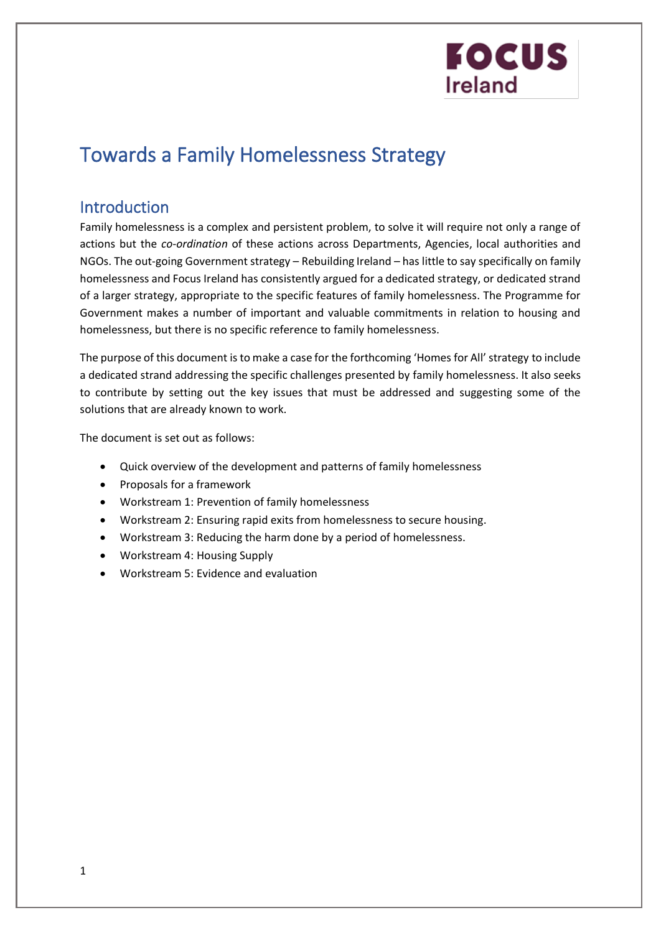### Towards a Family Homelessness Strategy

### Introduction

Family homelessness is a complex and persistent problem, to solve it will require not only a range of actions but the *co-ordination* of these actions across Departments, Agencies, local authorities and NGOs. The out-going Government strategy – Rebuilding Ireland – has little to say specifically on family homelessness and Focus Ireland has consistently argued for a dedicated strategy, or dedicated strand of a larger strategy, appropriate to the specific features of family homelessness. The Programme for Government makes a number of important and valuable commitments in relation to housing and homelessness, but there is no specific reference to family homelessness.

The purpose of this document is to make a case for the forthcoming 'Homes for All' strategy to include a dedicated strand addressing the specific challenges presented by family homelessness. It also seeks to contribute by setting out the key issues that must be addressed and suggesting some of the solutions that are already known to work.

The document is set out as follows:

- Quick overview of the development and patterns of family homelessness
- Proposals for a framework
- Workstream 1: Prevention of family homelessness
- Workstream 2: Ensuring rapid exits from homelessness to secure housing.
- Workstream 3: Reducing the harm done by a period of homelessness.
- Workstream 4: Housing Supply
- Workstream 5: Evidence and evaluation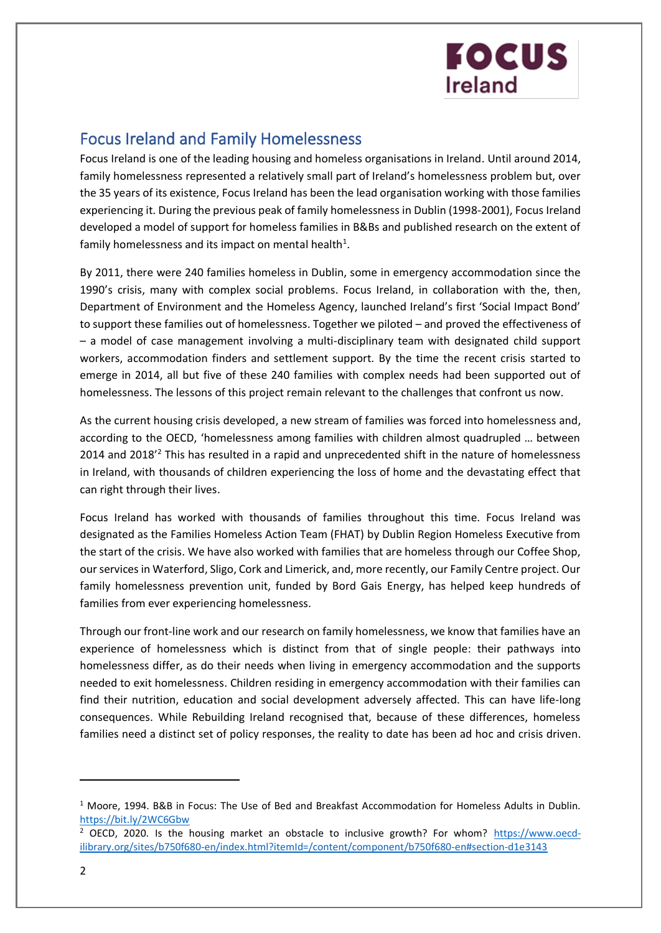### Focus Ireland and Family Homelessness

Focus Ireland is one of the leading housing and homeless organisations in Ireland. Until around 2014, family homelessness represented a relatively small part of Ireland's homelessness problem but, over the 35 years of its existence, Focus Ireland has been the lead organisation working with those families experiencing it. During the previous peak of family homelessness in Dublin (1998-2001), Focus Ireland developed a model of support for homeless families in B&Bs and published research on the extent of family homelessness and its impact on mental health<sup>1</sup>.

By 2011, there were 240 families homeless in Dublin, some in emergency accommodation since the 1990's crisis, many with complex social problems. Focus Ireland, in collaboration with the, then, Department of Environment and the Homeless Agency, launched Ireland's first 'Social Impact Bond' to support these families out of homelessness. Together we piloted – and proved the effectiveness of – a model of case management involving a multi-disciplinary team with designated child support workers, accommodation finders and settlement support. By the time the recent crisis started to emerge in 2014, all but five of these 240 families with complex needs had been supported out of homelessness. The lessons of this project remain relevant to the challenges that confront us now.

As the current housing crisis developed, a new stream of families was forced into homelessness and, according to the OECD, 'homelessness among families with children almost quadrupled … between 2014 and 2018'<sup>2</sup> This has resulted in a rapid and unprecedented shift in the nature of homelessness in Ireland, with thousands of children experiencing the loss of home and the devastating effect that can right through their lives.

Focus Ireland has worked with thousands of families throughout this time. Focus Ireland was designated as the Families Homeless Action Team (FHAT) by Dublin Region Homeless Executive from the start of the crisis. We have also worked with families that are homeless through our Coffee Shop, our services in Waterford, Sligo, Cork and Limerick, and, more recently, our Family Centre project. Our family homelessness prevention unit, funded by Bord Gais Energy, has helped keep hundreds of families from ever experiencing homelessness.

Through our front-line work and our research on family homelessness, we know that families have an experience of homelessness which is distinct from that of single people: their pathways into homelessness differ, as do their needs when living in emergency accommodation and the supports needed to exit homelessness. Children residing in emergency accommodation with their families can find their nutrition, education and social development adversely affected. This can have life-long consequences. While Rebuilding Ireland recognised that, because of these differences, homeless families need a distinct set of policy responses, the reality to date has been ad hoc and crisis driven.

<sup>1</sup> Moore, 1994. B&B in Focus: The Use of Bed and Breakfast Accommodation for Homeless Adults in Dublin. <https://bit.ly/2WC6Gbw>

 $<sup>2</sup>$  OECD, 2020. Is the housing market an obstacle to inclusive growth? For whom? https://www.oecd-</sup> [ilibrary.org/sites/b750f680-en/index.html?itemId=/content/component/b750f680-en#section-d1e3143](https://www.oecd-ilibrary.org/sites/b750f680-en/index.html?itemId=/content/component/b750f680-en#section-d1e3143)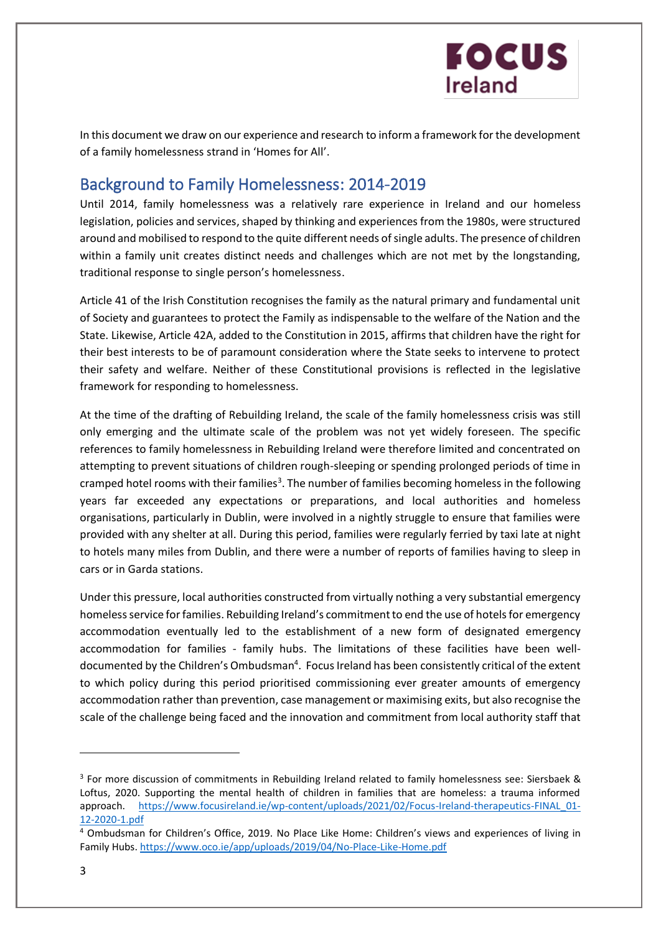

In this document we draw on our experience and research to inform a framework for the development of a family homelessness strand in 'Homes for All'.

### Background to Family Homelessness: 2014-2019

Until 2014, family homelessness was a relatively rare experience in Ireland and our homeless legislation, policies and services, shaped by thinking and experiences from the 1980s, were structured around and mobilised to respond to the quite different needs of single adults. The presence of children within a family unit creates distinct needs and challenges which are not met by the longstanding, traditional response to single person's homelessness.

Article 41 of the Irish Constitution recognises the family as the natural primary and fundamental unit of Society and guarantees to protect the Family as indispensable to the welfare of the Nation and the State. Likewise, Article 42A, added to the Constitution in 2015, affirms that children have the right for their best interests to be of paramount consideration where the State seeks to intervene to protect their safety and welfare. Neither of these Constitutional provisions is reflected in the legislative framework for responding to homelessness.

At the time of the drafting of Rebuilding Ireland, the scale of the family homelessness crisis was still only emerging and the ultimate scale of the problem was not yet widely foreseen. The specific references to family homelessness in Rebuilding Ireland were therefore limited and concentrated on attempting to prevent situations of children rough-sleeping or spending prolonged periods of time in cramped hotel rooms with their families<sup>3</sup>. The number of families becoming homeless in the following years far exceeded any expectations or preparations, and local authorities and homeless organisations, particularly in Dublin, were involved in a nightly struggle to ensure that families were provided with any shelter at all. During this period, families were regularly ferried by taxi late at night to hotels many miles from Dublin, and there were a number of reports of families having to sleep in cars or in Garda stations.

Under this pressure, local authorities constructed from virtually nothing a very substantial emergency homeless service for families. Rebuilding Ireland's commitment to end the use of hotels for emergency accommodation eventually led to the establishment of a new form of designated emergency accommodation for families - family hubs. The limitations of these facilities have been welldocumented by the Children's Ombudsman<sup>4</sup>. Focus Ireland has been consistently critical of the extent to which policy during this period prioritised commissioning ever greater amounts of emergency accommodation rather than prevention, case management or maximising exits, but also recognise the scale of the challenge being faced and the innovation and commitment from local authority staff that

<sup>&</sup>lt;sup>3</sup> For more discussion of commitments in Rebuilding Ireland related to family homelessness see: Siersbaek & Loftus, 2020. Supporting the mental health of children in families that are homeless: a trauma informed approach. [https://www.focusireland.ie/wp-content/uploads/2021/02/Focus-Ireland-therapeutics-FINAL\\_01-](https://focusireland-old.gdlindev.net/wp-content/uploads/2021/02/Focus-Ireland-therapeutics-FINAL_01-12-2020-1.pdf) [12-2020-1.pdf](https://focusireland-old.gdlindev.net/wp-content/uploads/2021/02/Focus-Ireland-therapeutics-FINAL_01-12-2020-1.pdf)

<sup>4</sup> Ombudsman for Children's Office, 2019. No Place Like Home: Children's views and experiences of living in Family Hubs. <https://www.oco.ie/app/uploads/2019/04/No-Place-Like-Home.pdf>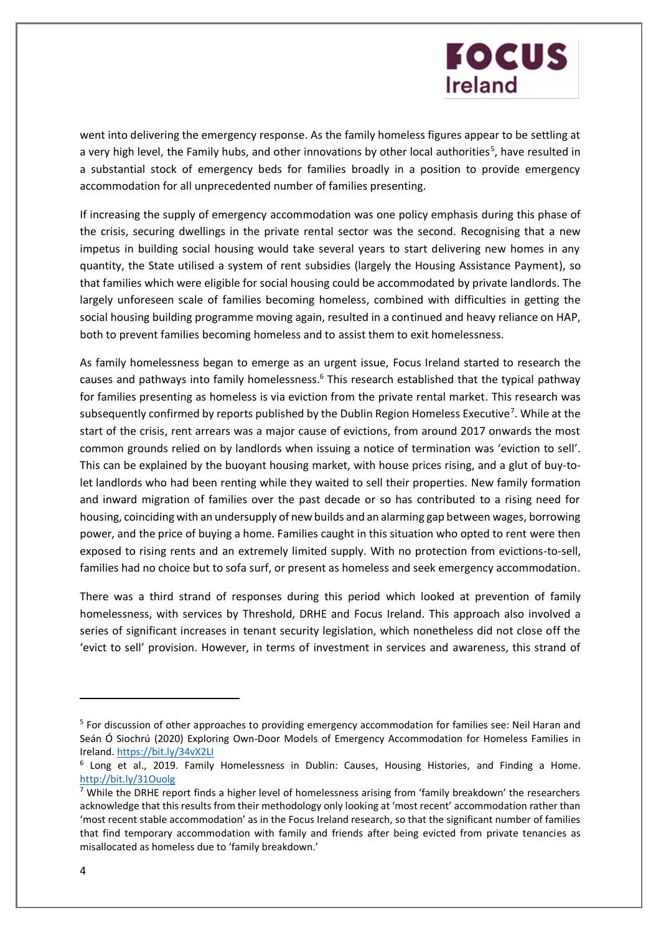went into delivering the emergency response. As the family homeless figures appear to be settling at a very high level, the Family hubs, and other innovations by other local authorities<sup>5</sup>, have resulted in a substantial stock of emergency beds for families broadly in a position to provide emergency accommodation for all unprecedented number of families presenting.

If increasing the supply of emergency accommodation was one policy emphasis during this phase of the crisis, securing dwellings in the private rental sector was the second. Recognising that a new impetus in building social housing would take several years to start delivering new homes in any quantity, the State utilised a system of rent subsidies (largely the Housing Assistance Payment), so that families which were eligible for social housing could be accommodated by private landlords. The largely unforeseen scale of families becoming homeless, combined with difficulties in getting the social housing building programme moving again, resulted in a continued and heavy reliance on HAP, both to prevent families becoming homeless and to assist them to exit homelessness.

As family homelessness began to emerge as an urgent issue, Focus Ireland started to research the causes and pathways into family homelessness.<sup>6</sup> This research established that the typical pathway for families presenting as homeless is via eviction from the private rental market. This research was subsequently confirmed by reports published by the Dublin Region Homeless Executive<sup>7</sup>. While at the start of the crisis, rent arrears was a major cause of evictions, from around 2017 onwards the most common grounds relied on by landlords when issuing a notice of termination was 'eviction to sell'. This can be explained by the buoyant housing market, with house prices rising, and a glut of buy-tolet landlords who had been renting while they waited to sell their properties. New family formation and inward migration of families over the past decade or so has contributed to a rising need for housing, coinciding with an undersupply of new builds and an alarming gap between wages, borrowing power, and the price of buying a home. Families caught in this situation who opted to rent were then exposed to rising rents and an extremely limited supply. With no protection from evictions-to-sell, families had no choice but to sofa surf, or present as homeless and seek emergency accommodation.

There was a third strand of responses during this period which looked at prevention of family homelessness, with services by Threshold, DRHE and Focus Ireland. This approach also involved a series of significant increases in tenant security legislation, which nonetheless did not close off the 'evict to sell' provision. However, in terms of investment in services and awareness, this strand of

<sup>&</sup>lt;sup>5</sup> For discussion of other approaches to providing emergency accommodation for families see: Neil Haran and Seán Ó Siochrú (2020) Exploring Own-Door Models of Emergency Accommodation for Homeless Families in Ireland[. https://bit.ly/34vX2LI](https://bit.ly/34vX2LI)

<sup>&</sup>lt;sup>6</sup> Long et al., 2019. Family Homelessness in Dublin: Causes, Housing Histories, and Finding a Home. <http://bit.ly/31Ouolg>

 $<sup>7</sup>$  While the DRHE report finds a higher level of homelessness arising from 'family breakdown' the researchers</sup> acknowledge that this results from their methodology only looking at 'most recent' accommodation rather than 'most recent stable accommodation' as in the Focus Ireland research, so that the significant number of families that find temporary accommodation with family and friends after being evicted from private tenancies as misallocated as homeless due to 'family breakdown.'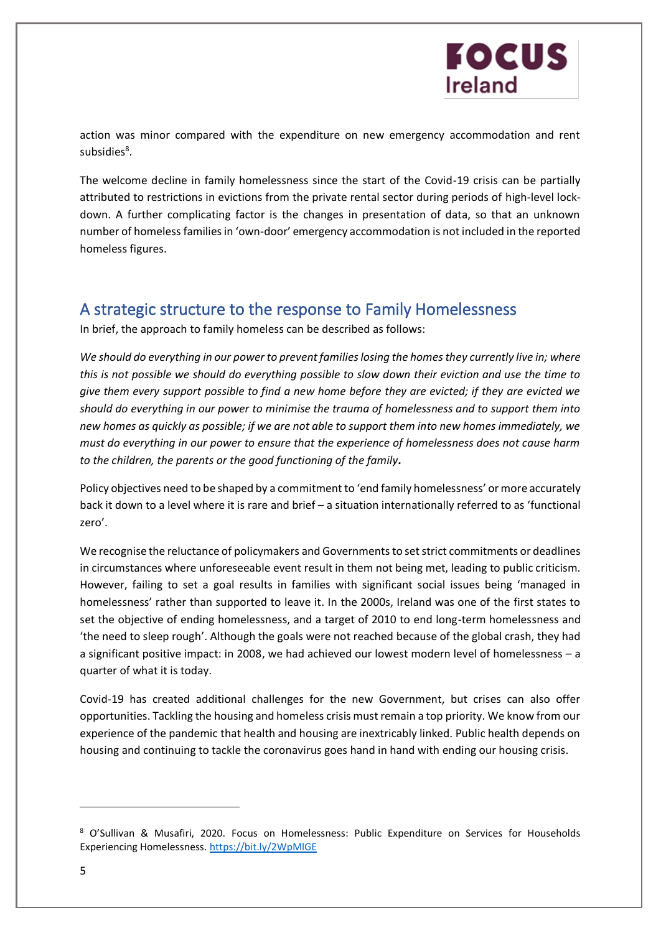

action was minor compared with the expenditure on new emergency accommodation and rent subsidies<sup>8</sup>.

The welcome decline in family homelessness since the start of the Covid-19 crisis can be partially attributed to restrictions in evictions from the private rental sector during periods of high-level lockdown. A further complicating factor is the changes in presentation of data, so that an unknown number of homeless families in 'own-door' emergency accommodation is not included in the reported homeless figures.

#### A strategic structure to the response to Family Homelessness

In brief, the approach to family homeless can be described as follows:

*We should do everything in our power to prevent families losing the homes they currently live in; where this is not possible we should do everything possible to slow down their eviction and use the time to give them every support possible to find a new home before they are evicted; if they are evicted we should do everything in our power to minimise the trauma of homelessness and to support them into new homes as quickly as possible; if we are not able to support them into new homes immediately, we must do everything in our power to ensure that the experience of homelessness does not cause harm to the children, the parents or the good functioning of the family.*

Policy objectives need to be shaped by a commitment to 'end family homelessness' or more accurately back it down to a level where it is rare and brief – a situation internationally referred to as 'functional zero'.

We recognise the reluctance of policymakers and Governments to set strict commitments or deadlines in circumstances where unforeseeable event result in them not being met, leading to public criticism. However, failing to set a goal results in families with significant social issues being 'managed in homelessness' rather than supported to leave it. In the 2000s, Ireland was one of the first states to set the objective of ending homelessness, and a target of 2010 to end long-term homelessness and 'the need to sleep rough'. Although the goals were not reached because of the global crash, they had a significant positive impact: in 2008, we had achieved our lowest modern level of homelessness – a quarter of what it is today.

Covid-19 has created additional challenges for the new Government, but crises can also offer opportunities. Tackling the housing and homeless crisis must remain a top priority. We know from our experience of the pandemic that health and housing are inextricably linked. Public health depends on housing and continuing to tackle the coronavirus goes hand in hand with ending our housing crisis.

<sup>8</sup> O'Sullivan & Musafiri, 2020. Focus on Homelessness: Public Expenditure on Services for Households Experiencing Homelessness[. https://bit.ly/2WpMlGE](https://bit.ly/2WpMlGE)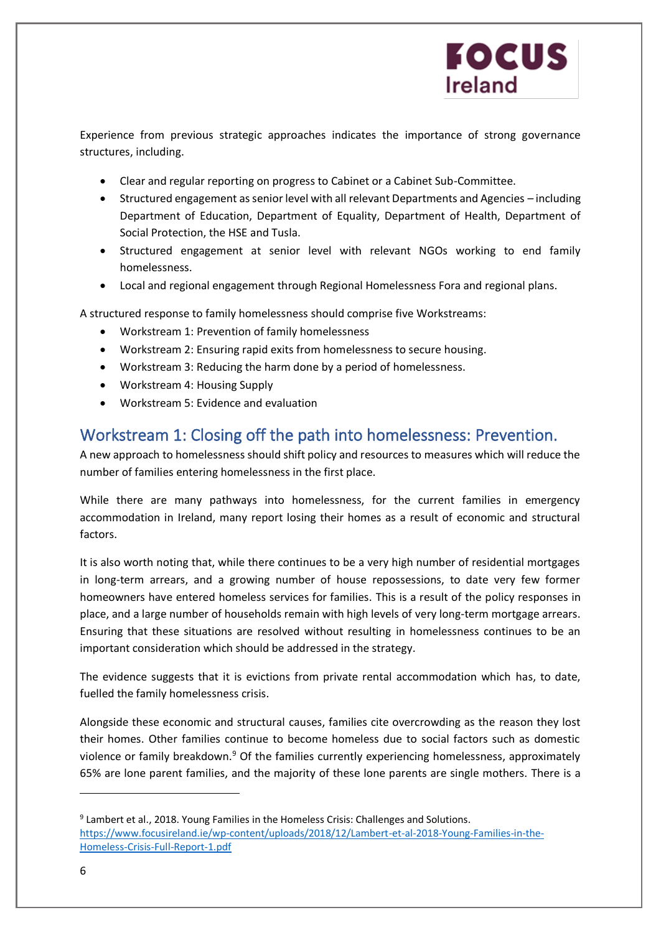Experience from previous strategic approaches indicates the importance of strong governance structures, including.

- Clear and regular reporting on progress to Cabinet or a Cabinet Sub-Committee.
- Structured engagement as senior level with all relevant Departments and Agencies including Department of Education, Department of Equality, Department of Health, Department of Social Protection, the HSE and Tusla.
- Structured engagement at senior level with relevant NGOs working to end family homelessness.
- Local and regional engagement through Regional Homelessness Fora and regional plans.

A structured response to family homelessness should comprise five Workstreams:

- Workstream 1: Prevention of family homelessness
- Workstream 2: Ensuring rapid exits from homelessness to secure housing.
- Workstream 3: Reducing the harm done by a period of homelessness.
- Workstream 4: Housing Supply
- Workstream 5: Evidence and evaluation

### Workstream 1: Closing off the path into homelessness: Prevention.

A new approach to homelessness should shift policy and resources to measures which will reduce the number of families entering homelessness in the first place.

While there are many pathways into homelessness, for the current families in emergency accommodation in Ireland, many report losing their homes as a result of economic and structural factors.

It is also worth noting that, while there continues to be a very high number of residential mortgages in long-term arrears, and a growing number of house repossessions, to date very few former homeowners have entered homeless services for families. This is a result of the policy responses in place, and a large number of households remain with high levels of very long-term mortgage arrears. Ensuring that these situations are resolved without resulting in homelessness continues to be an important consideration which should be addressed in the strategy.

The evidence suggests that it is evictions from private rental accommodation which has, to date, fuelled the family homelessness crisis.

Alongside these economic and structural causes, families cite overcrowding as the reason they lost their homes. Other families continue to become homeless due to social factors such as domestic violence or family breakdown.<sup>9</sup> Of the families currently experiencing homelessness, approximately 65% are lone parent families, and the majority of these lone parents are single mothers. There is a

<sup>&</sup>lt;sup>9</sup> Lambert et al., 2018. Young Families in the Homeless Crisis: Challenges and Solutions. [https://www.focusireland.ie/wp-content/uploads/2018/12/Lambert-et-al-2018-Young-Families-in-the-](https://focusireland-old.gdlindev.net/wp-content/uploads/2018/12/Lambert-et-al-2018-Young-Families-in-the-Homeless-Crisis-Full-Report-1.pdf)[Homeless-Crisis-Full-Report-1.pdf](https://focusireland-old.gdlindev.net/wp-content/uploads/2018/12/Lambert-et-al-2018-Young-Families-in-the-Homeless-Crisis-Full-Report-1.pdf)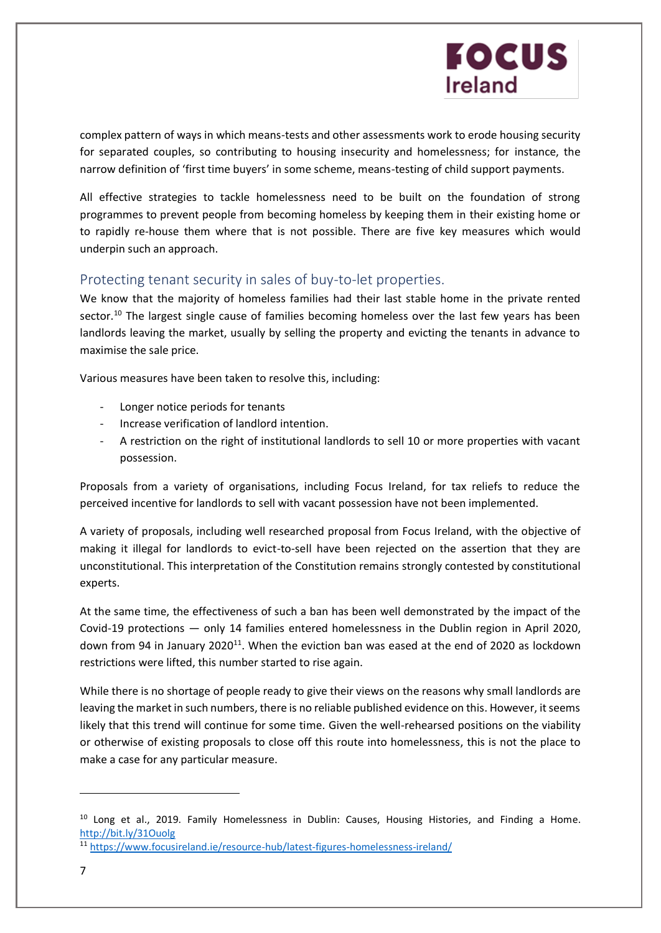complex pattern of ways in which means-tests and other assessments work to erode housing security for separated couples, so contributing to housing insecurity and homelessness; for instance, the narrow definition of 'first time buyers' in some scheme, means-testing of child support payments.

All effective strategies to tackle homelessness need to be built on the foundation of strong programmes to prevent people from becoming homeless by keeping them in their existing home or to rapidly re-house them where that is not possible. There are five key measures which would underpin such an approach.

#### Protecting tenant security in sales of buy-to-let properties.

We know that the majority of homeless families had their last stable home in the private rented sector.<sup>10</sup> The largest single cause of families becoming homeless over the last few years has been landlords leaving the market, usually by selling the property and evicting the tenants in advance to maximise the sale price.

Various measures have been taken to resolve this, including:

- Longer notice periods for tenants
- Increase verification of landlord intention.
- A restriction on the right of institutional landlords to sell 10 or more properties with vacant possession.

Proposals from a variety of organisations, including Focus Ireland, for tax reliefs to reduce the perceived incentive for landlords to sell with vacant possession have not been implemented.

A variety of proposals, including well researched proposal from Focus Ireland, with the objective of making it illegal for landlords to evict-to-sell have been rejected on the assertion that they are unconstitutional. This interpretation of the Constitution remains strongly contested by constitutional experts.

At the same time, the effectiveness of such a ban has been well demonstrated by the impact of the Covid-19 protections — only 14 families entered homelessness in the Dublin region in April 2020, down from 94 in January 2020<sup>11</sup>. When the eviction ban was eased at the end of 2020 as lockdown restrictions were lifted, this number started to rise again.

While there is no shortage of people ready to give their views on the reasons why small landlords are leaving the market in such numbers, there is no reliable published evidence on this. However, it seems likely that this trend will continue for some time. Given the well-rehearsed positions on the viability or otherwise of existing proposals to close off this route into homelessness, this is not the place to make a case for any particular measure.

<sup>&</sup>lt;sup>10</sup> Long et al., 2019. Family Homelessness in Dublin: Causes, Housing Histories, and Finding a Home. <http://bit.ly/31Ouolg>

<sup>11</sup> [https://www.focusireland.ie/resource-hub/latest-figures-homelessness-ireland/](https://focusireland-old.gdlindev.net/resource-hub/latest-figures-homelessness-ireland/)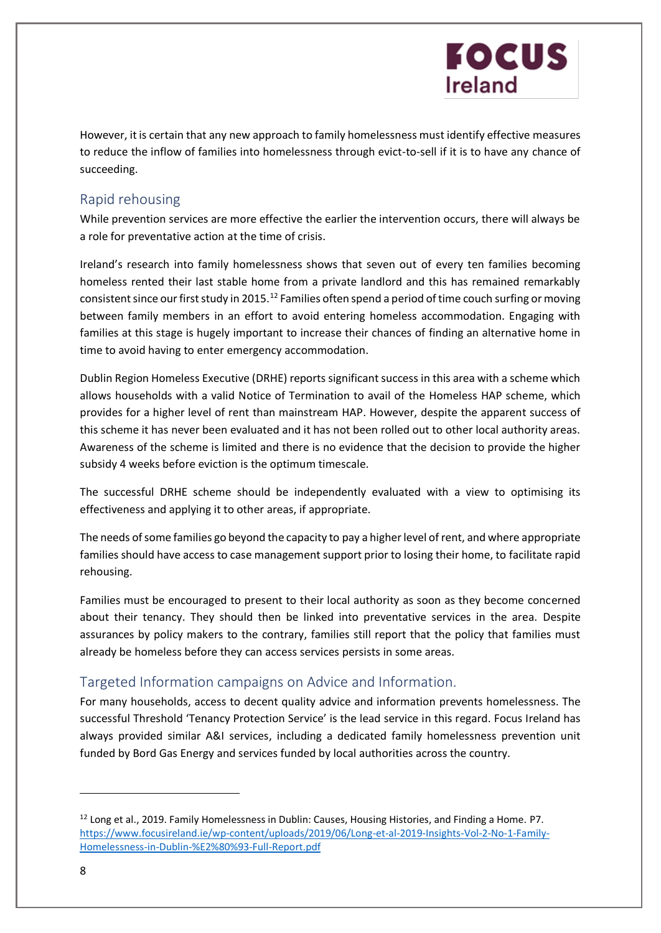However, it is certain that any new approach to family homelessness must identify effective measures to reduce the inflow of families into homelessness through evict-to-sell if it is to have any chance of succeeding.

### Rapid rehousing

While prevention services are more effective the earlier the intervention occurs, there will always be a role for preventative action at the time of crisis.

Ireland's research into family homelessness shows that seven out of every ten families becoming homeless rented their last stable home from a private landlord and this has remained remarkably consistent since our first study in 2015.<sup>12</sup> Families often spend a period of time couch surfing or moving between family members in an effort to avoid entering homeless accommodation. Engaging with families at this stage is hugely important to increase their chances of finding an alternative home in time to avoid having to enter emergency accommodation.

Dublin Region Homeless Executive (DRHE) reports significant success in this area with a scheme which allows households with a valid Notice of Termination to avail of the Homeless HAP scheme, which provides for a higher level of rent than mainstream HAP. However, despite the apparent success of this scheme it has never been evaluated and it has not been rolled out to other local authority areas. Awareness of the scheme is limited and there is no evidence that the decision to provide the higher subsidy 4 weeks before eviction is the optimum timescale.

The successful DRHE scheme should be independently evaluated with a view to optimising its effectiveness and applying it to other areas, if appropriate.

The needs of some families go beyond the capacity to pay a higher level of rent, and where appropriate families should have access to case management support prior to losing their home, to facilitate rapid rehousing.

Families must be encouraged to present to their local authority as soon as they become concerned about their tenancy. They should then be linked into preventative services in the area. Despite assurances by policy makers to the contrary, families still report that the policy that families must already be homeless before they can access services persists in some areas.

### Targeted Information campaigns on Advice and Information.

For many households, access to decent quality advice and information prevents homelessness. The successful Threshold 'Tenancy Protection Service' is the lead service in this regard. Focus Ireland has always provided similar A&I services, including a dedicated family homelessness prevention unit funded by Bord Gas Energy and services funded by local authorities across the country.

<sup>&</sup>lt;sup>12</sup> Long et al., 2019. Family Homelessness in Dublin: Causes, Housing Histories, and Finding a Home. P7. [https://www.focusireland.ie/wp-content/uploads/2019/06/Long-et-al-2019-Insights-Vol-2-No-1-Family-](https://focusireland-old.gdlindev.net/wp-content/uploads/2019/06/Long-et-al-2019-Insights-Vol-2-No-1-Family-Homelessness-in-Dublin-%E2%80%93-Full-Report.pdf)[Homelessness-in-Dublin-%E2%80%93-Full-Report.pdf](https://focusireland-old.gdlindev.net/wp-content/uploads/2019/06/Long-et-al-2019-Insights-Vol-2-No-1-Family-Homelessness-in-Dublin-%E2%80%93-Full-Report.pdf)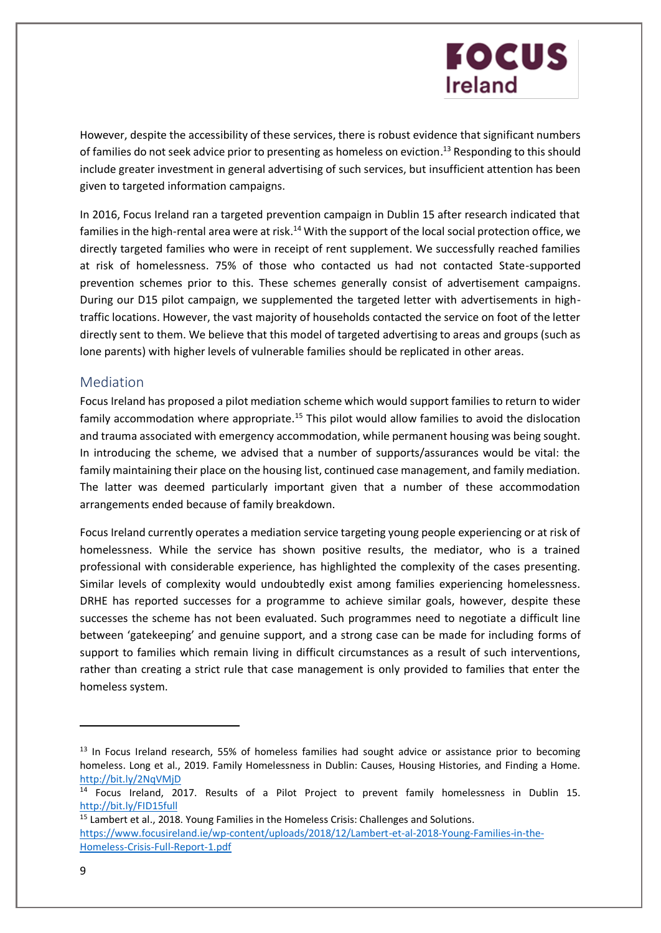However, despite the accessibility of these services, there is robust evidence that significant numbers of families do not seek advice prior to presenting as homeless on eviction.<sup>13</sup> Responding to this should include greater investment in general advertising of such services, but insufficient attention has been given to targeted information campaigns.

In 2016, Focus Ireland ran a targeted prevention campaign in Dublin 15 after research indicated that families in the high-rental area were at risk.<sup>14</sup> With the support of the local social protection office, we directly targeted families who were in receipt of rent supplement. We successfully reached families at risk of homelessness. 75% of those who contacted us had not contacted State-supported prevention schemes prior to this. These schemes generally consist of advertisement campaigns. During our D15 pilot campaign, we supplemented the targeted letter with advertisements in hightraffic locations. However, the vast majority of households contacted the service on foot of the letter directly sent to them. We believe that this model of targeted advertising to areas and groups (such as lone parents) with higher levels of vulnerable families should be replicated in other areas.

#### Mediation

Focus Ireland has proposed a pilot mediation scheme which would support families to return to wider family accommodation where appropriate.<sup>15</sup> This pilot would allow families to avoid the dislocation and trauma associated with emergency accommodation, while permanent housing was being sought. In introducing the scheme, we advised that a number of supports/assurances would be vital: the family maintaining their place on the housing list, continued case management, and family mediation. The latter was deemed particularly important given that a number of these accommodation arrangements ended because of family breakdown.

Focus Ireland currently operates a mediation service targeting young people experiencing or at risk of homelessness. While the service has shown positive results, the mediator, who is a trained professional with considerable experience, has highlighted the complexity of the cases presenting. Similar levels of complexity would undoubtedly exist among families experiencing homelessness. DRHE has reported successes for a programme to achieve similar goals, however, despite these successes the scheme has not been evaluated. Such programmes need to negotiate a difficult line between 'gatekeeping' and genuine support, and a strong case can be made for including forms of support to families which remain living in difficult circumstances as a result of such interventions, rather than creating a strict rule that case management is only provided to families that enter the homeless system.

<sup>&</sup>lt;sup>13</sup> In Focus Ireland research, 55% of homeless families had sought advice or assistance prior to becoming homeless. Long et al., 2019. Family Homelessness in Dublin: Causes, Housing Histories, and Finding a Home. <http://bit.ly/2NqVMjD>

<sup>&</sup>lt;sup>14</sup> Focus Ireland, 2017. Results of a Pilot Project to prevent family homelessness in Dublin 15. <http://bit.ly/FID15full>

<sup>&</sup>lt;sup>15</sup> Lambert et al., 2018. Young Families in the Homeless Crisis: Challenges and Solutions. [https://www.focusireland.ie/wp-content/uploads/2018/12/Lambert-et-al-2018-Young-Families-in-the-](https://focusireland-old.gdlindev.net/wp-content/uploads/2018/12/Lambert-et-al-2018-Young-Families-in-the-Homeless-Crisis-Full-Report-1.pdf)[Homeless-Crisis-Full-Report-1.pdf](https://focusireland-old.gdlindev.net/wp-content/uploads/2018/12/Lambert-et-al-2018-Young-Families-in-the-Homeless-Crisis-Full-Report-1.pdf)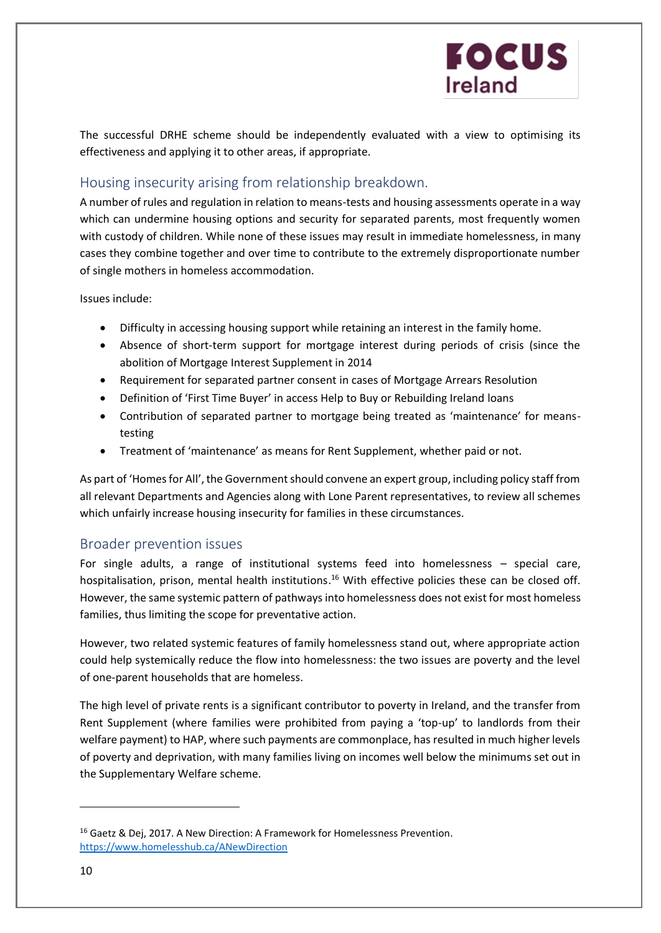The successful DRHE scheme should be independently evaluated with a view to optimising its effectiveness and applying it to other areas, if appropriate.

### Housing insecurity arising from relationship breakdown.

A number of rules and regulation in relation to means-tests and housing assessments operate in a way which can undermine housing options and security for separated parents, most frequently women with custody of children. While none of these issues may result in immediate homelessness, in many cases they combine together and over time to contribute to the extremely disproportionate number of single mothers in homeless accommodation.

Issues include:

- Difficulty in accessing housing support while retaining an interest in the family home.
- Absence of short-term support for mortgage interest during periods of crisis (since the abolition of Mortgage Interest Supplement in 2014
- Requirement for separated partner consent in cases of Mortgage Arrears Resolution
- Definition of 'First Time Buyer' in access Help to Buy or Rebuilding Ireland loans
- Contribution of separated partner to mortgage being treated as 'maintenance' for meanstesting
- Treatment of 'maintenance' as means for Rent Supplement, whether paid or not.

As part of 'Homes for All', the Government should convene an expert group, including policy staff from all relevant Departments and Agencies along with Lone Parent representatives, to review all schemes which unfairly increase housing insecurity for families in these circumstances.

#### Broader prevention issues

For single adults, a range of institutional systems feed into homelessness – special care, hospitalisation, prison, mental health institutions.<sup>16</sup> With effective policies these can be closed off. However, the same systemic pattern of pathways into homelessness does not exist for most homeless families, thus limiting the scope for preventative action.

However, two related systemic features of family homelessness stand out, where appropriate action could help systemically reduce the flow into homelessness: the two issues are poverty and the level of one-parent households that are homeless.

The high level of private rents is a significant contributor to poverty in Ireland, and the transfer from Rent Supplement (where families were prohibited from paying a 'top-up' to landlords from their welfare payment) to HAP, where such payments are commonplace, has resulted in much higher levels of poverty and deprivation, with many families living on incomes well below the minimums set out in the Supplementary Welfare scheme.

<sup>&</sup>lt;sup>16</sup> Gaetz & Dej, 2017. A New Direction: A Framework for Homelessness Prevention. <https://www.homelesshub.ca/ANewDirection>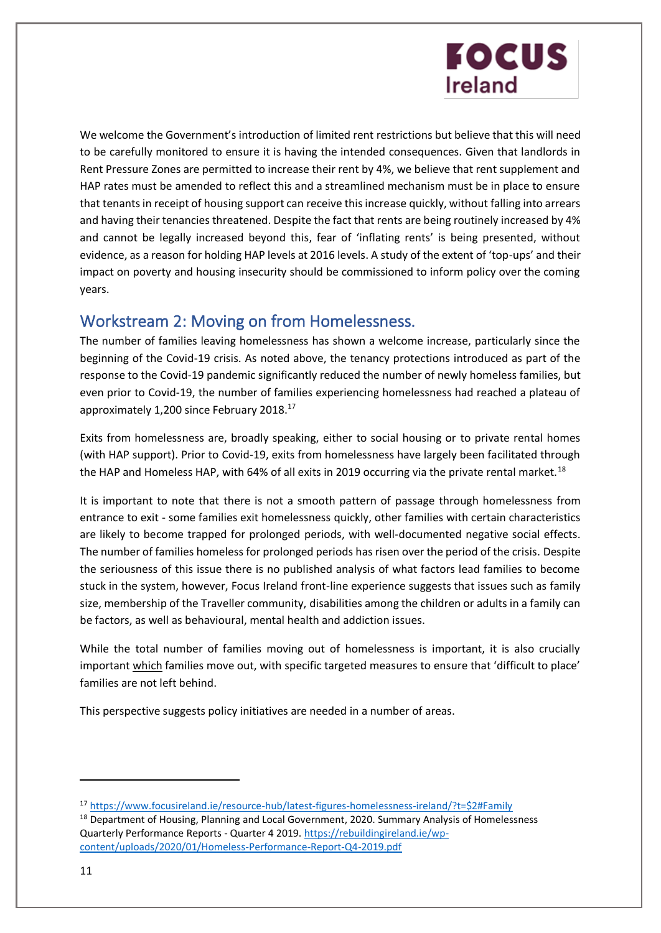We welcome the Government's introduction of limited rent restrictions but believe that this will need to be carefully monitored to ensure it is having the intended consequences. Given that landlords in Rent Pressure Zones are permitted to increase their rent by 4%, we believe that rent supplement and HAP rates must be amended to reflect this and a streamlined mechanism must be in place to ensure that tenants in receipt of housing support can receive this increase quickly, without falling into arrears and having their tenancies threatened. Despite the fact that rents are being routinely increased by 4% and cannot be legally increased beyond this, fear of 'inflating rents' is being presented, without evidence, as a reason for holding HAP levels at 2016 levels. A study of the extent of 'top-ups' and their impact on poverty and housing insecurity should be commissioned to inform policy over the coming years.

### Workstream 2: Moving on from Homelessness.

The number of families leaving homelessness has shown a welcome increase, particularly since the beginning of the Covid-19 crisis. As noted above, the tenancy protections introduced as part of the response to the Covid-19 pandemic significantly reduced the number of newly homeless families, but even prior to Covid-19, the number of families experiencing homelessness had reached a plateau of approximately 1,200 since February 2018.<sup>17</sup>

Exits from homelessness are, broadly speaking, either to social housing or to private rental homes (with HAP support). Prior to Covid-19, exits from homelessness have largely been facilitated through the HAP and Homeless HAP, with 64% of all exits in 2019 occurring via the private rental market.<sup>18</sup>

It is important to note that there is not a smooth pattern of passage through homelessness from entrance to exit - some families exit homelessness quickly, other families with certain characteristics are likely to become trapped for prolonged periods, with well-documented negative social effects. The number of families homeless for prolonged periods has risen over the period of the crisis. Despite the seriousness of this issue there is no published analysis of what factors lead families to become stuck in the system, however, Focus Ireland front-line experience suggests that issues such as family size, membership of the Traveller community, disabilities among the children or adults in a family can be factors, as well as behavioural, mental health and addiction issues.

While the total number of families moving out of homelessness is important, it is also crucially important which families move out, with specific targeted measures to ensure that 'difficult to place' families are not left behind.

This perspective suggests policy initiatives are needed in a number of areas.

<sup>17</sup> [https://www.focusireland.ie/resource-hub/latest-figures-homelessness-ireland/?t=\\$2#Family](https://focusireland-old.gdlindev.net/resource-hub/latest-figures-homelessness-ireland/?t=$2#Family)

<sup>&</sup>lt;sup>18</sup> Department of Housing, Planning and Local Government, 2020. Summary Analysis of Homelessness Quarterly Performance Reports - Quarter 4 2019. [https://rebuildingireland.ie/wp](https://rebuildingireland.ie/wp-content/uploads/2020/01/Homeless-Performance-Report-Q4-2019.pdf)[content/uploads/2020/01/Homeless-Performance-Report-Q4-2019.pdf](https://rebuildingireland.ie/wp-content/uploads/2020/01/Homeless-Performance-Report-Q4-2019.pdf)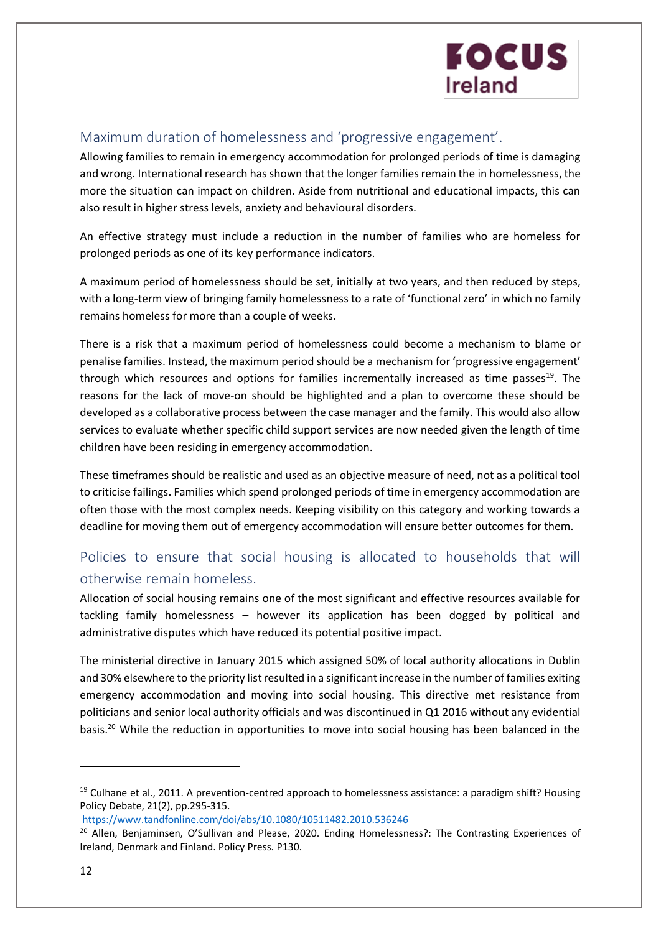#### Maximum duration of homelessness and 'progressive engagement'.

Allowing families to remain in emergency accommodation for prolonged periods of time is damaging and wrong. International research has shown that the longer families remain the in homelessness, the more the situation can impact on children. Aside from nutritional and educational impacts, this can also result in higher stress levels, anxiety and behavioural disorders.

An effective strategy must include a reduction in the number of families who are homeless for prolonged periods as one of its key performance indicators.

A maximum period of homelessness should be set, initially at two years, and then reduced by steps, with a long-term view of bringing family homelessness to a rate of 'functional zero' in which no family remains homeless for more than a couple of weeks.

There is a risk that a maximum period of homelessness could become a mechanism to blame or penalise families. Instead, the maximum period should be a mechanism for 'progressive engagement' through which resources and options for families incrementally increased as time passes<sup>19</sup>. The reasons for the lack of move-on should be highlighted and a plan to overcome these should be developed as a collaborative process between the case manager and the family. This would also allow services to evaluate whether specific child support services are now needed given the length of time children have been residing in emergency accommodation.

These timeframes should be realistic and used as an objective measure of need, not as a political tool to criticise failings. Families which spend prolonged periods of time in emergency accommodation are often those with the most complex needs. Keeping visibility on this category and working towards a deadline for moving them out of emergency accommodation will ensure better outcomes for them.

### Policies to ensure that social housing is allocated to households that will otherwise remain homeless.

Allocation of social housing remains one of the most significant and effective resources available for tackling family homelessness – however its application has been dogged by political and administrative disputes which have reduced its potential positive impact.

The ministerial directive in January 2015 which assigned 50% of local authority allocations in Dublin and 30% elsewhere to the priority list resulted in a significant increase in the number of families exiting emergency accommodation and moving into social housing. This directive met resistance from politicians and senior local authority officials and was discontinued in Q1 2016 without any evidential basis. <sup>20</sup> While the reduction in opportunities to move into social housing has been balanced in the

```
https://www.tandfonline.com/doi/abs/10.1080/10511482.2010.536246
```
<sup>&</sup>lt;sup>19</sup> Culhane et al., 2011. A prevention-centred approach to homelessness assistance: a paradigm shift? Housing Policy Debate, 21(2), pp.295-315.

<sup>&</sup>lt;sup>20</sup> Allen, Benjaminsen, O'Sullivan and Please, 2020. Ending Homelessness?: The Contrasting Experiences of Ireland, Denmark and Finland. Policy Press. P130.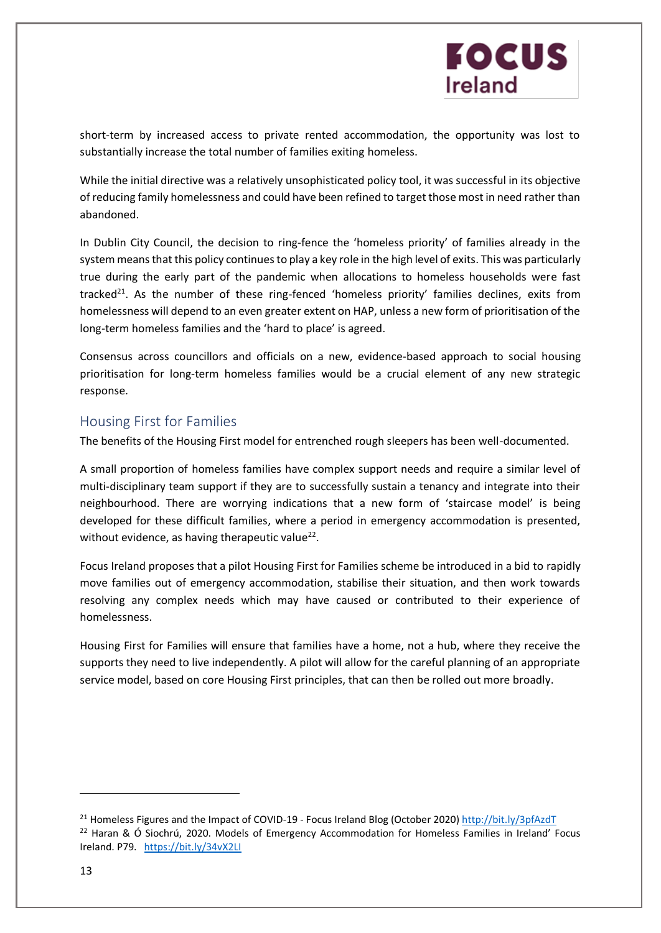short-term by increased access to private rented accommodation, the opportunity was lost to substantially increase the total number of families exiting homeless.

While the initial directive was a relatively unsophisticated policy tool, it was successful in its objective of reducing family homelessness and could have been refined to target those most in need rather than abandoned.

In Dublin City Council, the decision to ring-fence the 'homeless priority' of families already in the system means that this policy continues to play a key role in the high level of exits. This was particularly true during the early part of the pandemic when allocations to homeless households were fast tracked<sup>21</sup>. As the number of these ring-fenced 'homeless priority' families declines, exits from homelessness will depend to an even greater extent on HAP, unless a new form of prioritisation of the long-term homeless families and the 'hard to place' is agreed.

Consensus across councillors and officials on a new, evidence-based approach to social housing prioritisation for long-term homeless families would be a crucial element of any new strategic response.

#### Housing First for Families

The benefits of the Housing First model for entrenched rough sleepers has been well-documented.

A small proportion of homeless families have complex support needs and require a similar level of multi-disciplinary team support if they are to successfully sustain a tenancy and integrate into their neighbourhood. There are worrying indications that a new form of 'staircase model' is being developed for these difficult families, where a period in emergency accommodation is presented, without evidence, as having therapeutic value<sup>22</sup>.

Focus Ireland proposes that a pilot Housing First for Families scheme be introduced in a bid to rapidly move families out of emergency accommodation, stabilise their situation, and then work towards resolving any complex needs which may have caused or contributed to their experience of homelessness.

Housing First for Families will ensure that families have a home, not a hub, where they receive the supports they need to live independently. A pilot will allow for the careful planning of an appropriate service model, based on core Housing First principles, that can then be rolled out more broadly.

<sup>&</sup>lt;sup>21</sup> Homeless Figures and the Impact of COVID-19 - Focus Ireland Blog (October 2020)<http://bit.ly/3pfAzdT>  $22$  Haran & Ó Siochrú, 2020. Models of Emergency Accommodation for Homeless Families in Ireland' Focus Ireland. P79. <https://bit.ly/34vX2LI>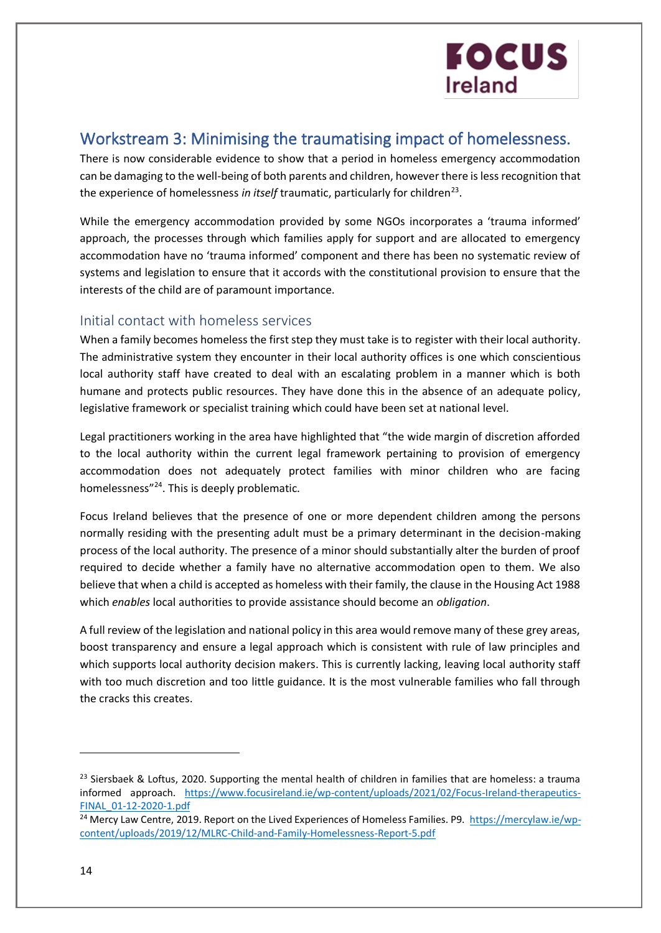### Workstream 3: Minimising the traumatising impact of homelessness.

There is now considerable evidence to show that a period in homeless emergency accommodation can be damaging to the well-being of both parents and children, however there is less recognition that the experience of homelessness in itself traumatic, particularly for children<sup>23</sup>.

While the emergency accommodation provided by some NGOs incorporates a 'trauma informed' approach, the processes through which families apply for support and are allocated to emergency accommodation have no 'trauma informed' component and there has been no systematic review of systems and legislation to ensure that it accords with the constitutional provision to ensure that the interests of the child are of paramount importance.

#### Initial contact with homeless services

When a family becomes homeless the first step they must take is to register with their local authority. The administrative system they encounter in their local authority offices is one which conscientious local authority staff have created to deal with an escalating problem in a manner which is both humane and protects public resources. They have done this in the absence of an adequate policy, legislative framework or specialist training which could have been set at national level.

Legal practitioners working in the area have highlighted that "the wide margin of discretion afforded to the local authority within the current legal framework pertaining to provision of emergency accommodation does not adequately protect families with minor children who are facing homelessness"<sup>24</sup>. This is deeply problematic.

Focus Ireland believes that the presence of one or more dependent children among the persons normally residing with the presenting adult must be a primary determinant in the decision-making process of the local authority. The presence of a minor should substantially alter the burden of proof required to decide whether a family have no alternative accommodation open to them. We also believe that when a child is accepted as homeless with their family, the clause in the Housing Act 1988 which *enables* local authorities to provide assistance should become an *obligation*.

A full review of the legislation and national policy in this area would remove many of these grey areas, boost transparency and ensure a legal approach which is consistent with rule of law principles and which supports local authority decision makers. This is currently lacking, leaving local authority staff with too much discretion and too little guidance. It is the most vulnerable families who fall through the cracks this creates.

 $23$  Siersbaek & Loftus, 2020. Supporting the mental health of children in families that are homeless: a trauma informed approach. [https://www.focusireland.ie/wp-content/uploads/2021/02/Focus-Ireland-therapeutics-](https://focusireland-old.gdlindev.net/wp-content/uploads/2021/02/Focus-Ireland-therapeutics-FINAL_01-12-2020-1.pdf)[FINAL\\_01-12-2020-1.pdf](https://focusireland-old.gdlindev.net/wp-content/uploads/2021/02/Focus-Ireland-therapeutics-FINAL_01-12-2020-1.pdf)

<sup>&</sup>lt;sup>24</sup> Mercy Law Centre, 2019. Report on the Lived Experiences of Homeless Families. P9. [https://mercylaw.ie/wp](https://mercylaw.ie/wp-content/uploads/2019/12/MLRC-Child-and-Family-Homelessness-Report-5.pdf)[content/uploads/2019/12/MLRC-Child-and-Family-Homelessness-Report-5.pdf](https://mercylaw.ie/wp-content/uploads/2019/12/MLRC-Child-and-Family-Homelessness-Report-5.pdf)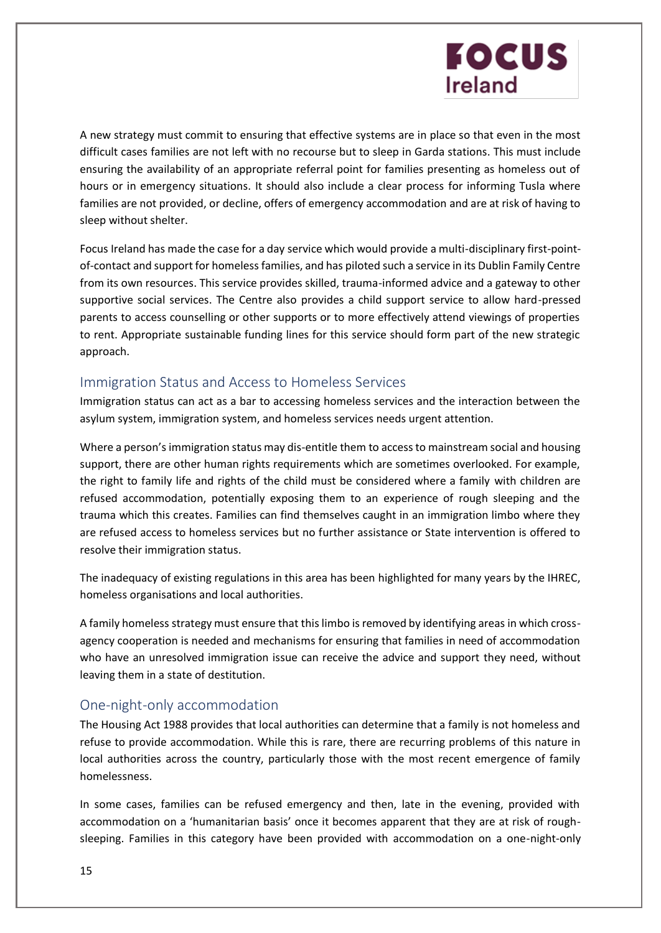A new strategy must commit to ensuring that effective systems are in place so that even in the most difficult cases families are not left with no recourse but to sleep in Garda stations. This must include ensuring the availability of an appropriate referral point for families presenting as homeless out of hours or in emergency situations. It should also include a clear process for informing Tusla where families are not provided, or decline, offers of emergency accommodation and are at risk of having to sleep without shelter.

Focus Ireland has made the case for a day service which would provide a multi-disciplinary first-pointof-contact and support for homeless families, and has piloted such a service in its Dublin Family Centre from its own resources. This service provides skilled, trauma-informed advice and a gateway to other supportive social services. The Centre also provides a child support service to allow hard-pressed parents to access counselling or other supports or to more effectively attend viewings of properties to rent. Appropriate sustainable funding lines for this service should form part of the new strategic approach.

#### Immigration Status and Access to Homeless Services

Immigration status can act as a bar to accessing homeless services and the interaction between the asylum system, immigration system, and homeless services needs urgent attention.

Where a person's immigration status may dis-entitle them to access to mainstream social and housing support, there are other human rights requirements which are sometimes overlooked. For example, the right to family life and rights of the child must be considered where a family with children are refused accommodation, potentially exposing them to an experience of rough sleeping and the trauma which this creates. Families can find themselves caught in an immigration limbo where they are refused access to homeless services but no further assistance or State intervention is offered to resolve their immigration status.

The inadequacy of existing regulations in this area has been highlighted for many years by the IHREC, homeless organisations and local authorities.

A family homeless strategy must ensure that this limbo is removed by identifying areas in which crossagency cooperation is needed and mechanisms for ensuring that families in need of accommodation who have an unresolved immigration issue can receive the advice and support they need, without leaving them in a state of destitution.

#### One-night-only accommodation

The Housing Act 1988 provides that local authorities can determine that a family is not homeless and refuse to provide accommodation. While this is rare, there are recurring problems of this nature in local authorities across the country, particularly those with the most recent emergence of family homelessness.

In some cases, families can be refused emergency and then, late in the evening, provided with accommodation on a 'humanitarian basis' once it becomes apparent that they are at risk of roughsleeping. Families in this category have been provided with accommodation on a one-night-only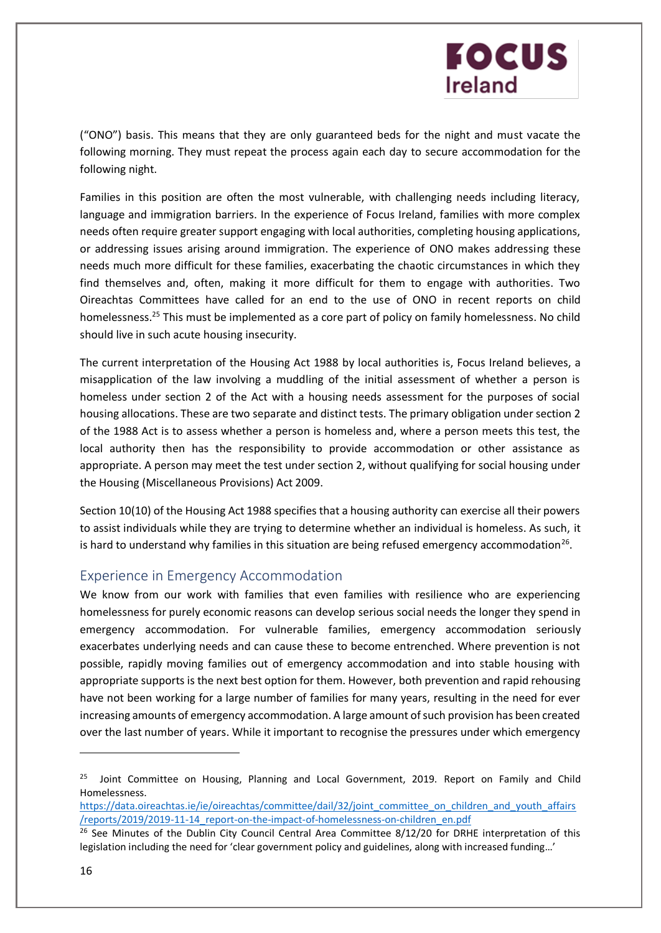("ONO") basis. This means that they are only guaranteed beds for the night and must vacate the following morning. They must repeat the process again each day to secure accommodation for the following night.

Families in this position are often the most vulnerable, with challenging needs including literacy, language and immigration barriers. In the experience of Focus Ireland, families with more complex needs often require greater support engaging with local authorities, completing housing applications, or addressing issues arising around immigration. The experience of ONO makes addressing these needs much more difficult for these families, exacerbating the chaotic circumstances in which they find themselves and, often, making it more difficult for them to engage with authorities. Two Oireachtas Committees have called for an end to the use of ONO in recent reports on child homelessness.<sup>25</sup> This must be implemented as a core part of policy on family homelessness. No child should live in such acute housing insecurity.

The current interpretation of the Housing Act 1988 by local authorities is, Focus Ireland believes, a misapplication of the law involving a muddling of the initial assessment of whether a person is homeless under section 2 of the Act with a housing needs assessment for the purposes of social housing allocations. These are two separate and distinct tests. The primary obligation under section 2 of the 1988 Act is to assess whether a person is homeless and, where a person meets this test, the local authority then has the responsibility to provide accommodation or other assistance as appropriate. A person may meet the test under section 2, without qualifying for social housing under the Housing (Miscellaneous Provisions) Act 2009.

Section 10(10) of the Housing Act 1988 specifies that a housing authority can exercise all their powers to assist individuals while they are trying to determine whether an individual is homeless. As such, it is hard to understand why families in this situation are being refused emergency accommodation<sup>26</sup>.

#### Experience in Emergency Accommodation

We know from our work with families that even families with resilience who are experiencing homelessness for purely economic reasons can develop serious social needs the longer they spend in emergency accommodation. For vulnerable families, emergency accommodation seriously exacerbates underlying needs and can cause these to become entrenched. Where prevention is not possible, rapidly moving families out of emergency accommodation and into stable housing with appropriate supports is the next best option for them. However, both prevention and rapid rehousing have not been working for a large number of families for many years, resulting in the need for ever increasing amounts of emergency accommodation. A large amount of such provision has been created over the last number of years. While it important to recognise the pressures under which emergency

[https://data.oireachtas.ie/ie/oireachtas/committee/dail/32/joint\\_committee\\_on\\_children\\_and\\_youth\\_affairs](https://data.oireachtas.ie/ie/oireachtas/committee/dail/32/joint_committee_on_children_and_youth_affairs/reports/2019/2019-11-14_report-on-the-impact-of-homelessness-on-children_en.pdf) [/reports/2019/2019-11-14\\_report-on-the-impact-of-homelessness-on-children\\_en.pdf](https://data.oireachtas.ie/ie/oireachtas/committee/dail/32/joint_committee_on_children_and_youth_affairs/reports/2019/2019-11-14_report-on-the-impact-of-homelessness-on-children_en.pdf)

<sup>&</sup>lt;sup>25</sup> Joint Committee on Housing, Planning and Local Government, 2019. Report on Family and Child Homelessness.

 $26$  See Minutes of the Dublin City Council Central Area Committee 8/12/20 for DRHE interpretation of this legislation including the need for 'clear government policy and guidelines, along with increased funding…'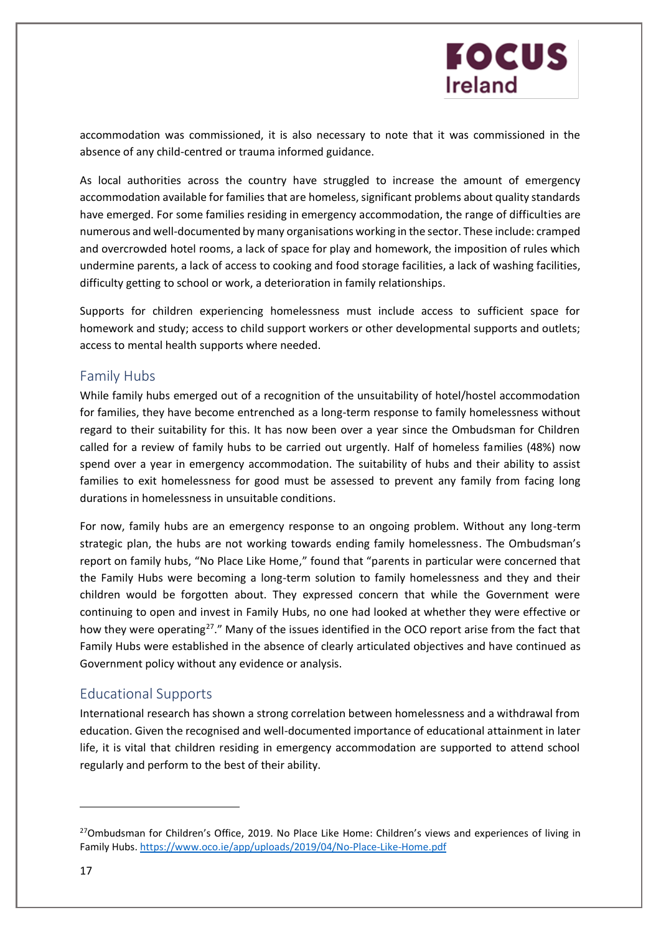

accommodation was commissioned, it is also necessary to note that it was commissioned in the absence of any child-centred or trauma informed guidance.

As local authorities across the country have struggled to increase the amount of emergency accommodation available for families that are homeless, significant problems about quality standards have emerged. For some families residing in emergency accommodation, the range of difficulties are numerous and well-documented by many organisations working in the sector. These include: cramped and overcrowded hotel rooms, a lack of space for play and homework, the imposition of rules which undermine parents, a lack of access to cooking and food storage facilities, a lack of washing facilities, difficulty getting to school or work, a deterioration in family relationships.

Supports for children experiencing homelessness must include access to sufficient space for homework and study; access to child support workers or other developmental supports and outlets; access to mental health supports where needed.

#### Family Hubs

While family hubs emerged out of a recognition of the unsuitability of hotel/hostel accommodation for families, they have become entrenched as a long-term response to family homelessness without regard to their suitability for this. It has now been over a year since the Ombudsman for Children called for a review of family hubs to be carried out urgently. Half of homeless families (48%) now spend over a year in emergency accommodation. The suitability of hubs and their ability to assist families to exit homelessness for good must be assessed to prevent any family from facing long durations in homelessness in unsuitable conditions.

For now, family hubs are an emergency response to an ongoing problem. Without any long-term strategic plan, the hubs are not working towards ending family homelessness. The Ombudsman's report on family hubs, "No Place Like Home," found that "parents in particular were concerned that the Family Hubs were becoming a long-term solution to family homelessness and they and their children would be forgotten about. They expressed concern that while the Government were continuing to open and invest in Family Hubs, no one had looked at whether they were effective or how they were operating<sup>27</sup>." Many of the issues identified in the OCO report arise from the fact that Family Hubs were established in the absence of clearly articulated objectives and have continued as Government policy without any evidence or analysis.

#### Educational Supports

International research has shown a strong correlation between homelessness and a withdrawal from education. Given the recognised and well-documented importance of educational attainment in later life, it is vital that children residing in emergency accommodation are supported to attend school regularly and perform to the best of their ability.

<sup>&</sup>lt;sup>27</sup>Ombudsman for Children's Office, 2019. No Place Like Home: Children's views and experiences of living in Family Hubs. <https://www.oco.ie/app/uploads/2019/04/No-Place-Like-Home.pdf>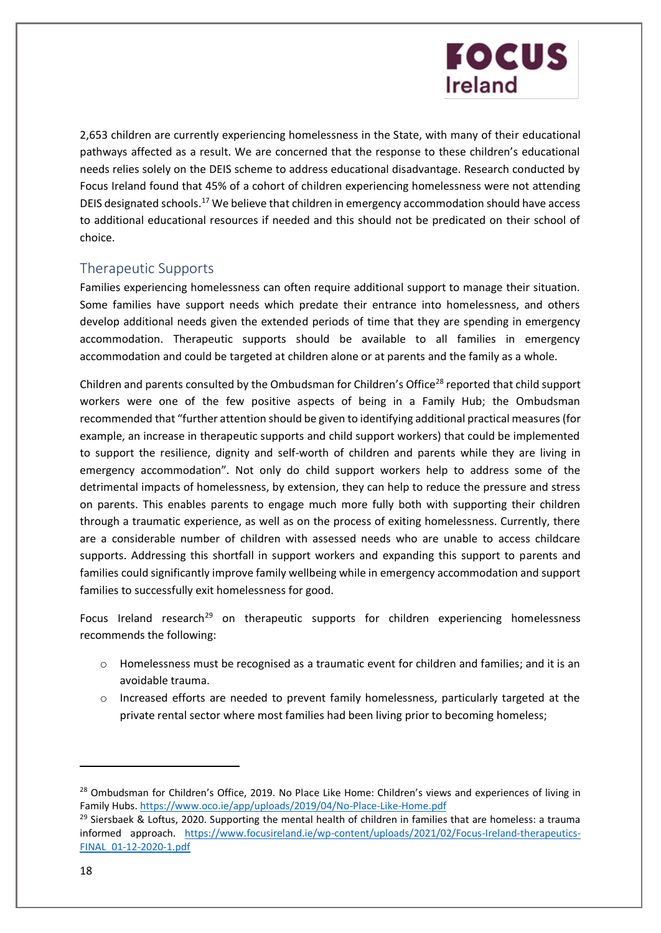2,653 children are currently experiencing homelessness in the State, with many of their educational pathways affected as a result. We are concerned that the response to these children's educational needs relies solely on the DEIS scheme to address educational disadvantage. Research conducted by Focus Ireland found that 45% of a cohort of children experiencing homelessness were not attending DEIS designated schools.<sup>17</sup> We believe that children in emergency accommodation should have access to additional educational resources if needed and this should not be predicated on their school of choice.

#### Therapeutic Supports

Families experiencing homelessness can often require additional support to manage their situation. Some families have support needs which predate their entrance into homelessness, and others develop additional needs given the extended periods of time that they are spending in emergency accommodation. Therapeutic supports should be available to all families in emergency accommodation and could be targeted at children alone or at parents and the family as a whole.

Children and parents consulted by the Ombudsman for Children's Office<sup>28</sup> reported that child support workers were one of the few positive aspects of being in a Family Hub; the Ombudsman recommended that "further attention should be given to identifying additional practical measures (for example, an increase in therapeutic supports and child support workers) that could be implemented to support the resilience, dignity and self-worth of children and parents while they are living in emergency accommodation". Not only do child support workers help to address some of the detrimental impacts of homelessness, by extension, they can help to reduce the pressure and stress on parents. This enables parents to engage much more fully both with supporting their children through a traumatic experience, as well as on the process of exiting homelessness. Currently, there are a considerable number of children with assessed needs who are unable to access childcare supports. Addressing this shortfall in support workers and expanding this support to parents and families could significantly improve family wellbeing while in emergency accommodation and support families to successfully exit homelessness for good.

Focus Ireland research<sup>29</sup> on therapeutic supports for children experiencing homelessness recommends the following:

- o Homelessness must be recognised as a traumatic event for children and families; and it is an avoidable trauma.
- $\circ$  Increased efforts are needed to prevent family homelessness, particularly targeted at the private rental sector where most families had been living prior to becoming homeless;

<sup>&</sup>lt;sup>28</sup> Ombudsman for Children's Office, 2019. No Place Like Home: Children's views and experiences of living in Family Hubs.<https://www.oco.ie/app/uploads/2019/04/No-Place-Like-Home.pdf>

 $29$  Siersbaek & Loftus, 2020. Supporting the mental health of children in families that are homeless: a trauma informed approach. [https://www.focusireland.ie/wp-content/uploads/2021/02/Focus-Ireland-therapeutics-](https://focusireland-old.gdlindev.net/wp-content/uploads/2021/02/Focus-Ireland-therapeutics-FINAL_01-12-2020-1.pdf)[FINAL\\_01-12-2020-1.pdf](https://focusireland-old.gdlindev.net/wp-content/uploads/2021/02/Focus-Ireland-therapeutics-FINAL_01-12-2020-1.pdf)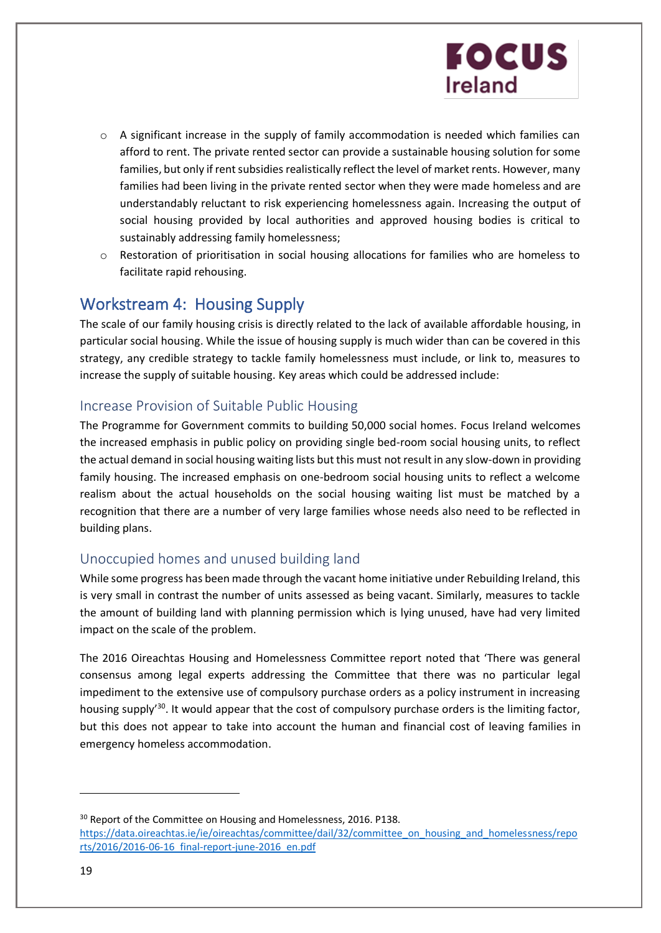- $\circ$  A significant increase in the supply of family accommodation is needed which families can afford to rent. The private rented sector can provide a sustainable housing solution for some families, but only if rent subsidies realistically reflect the level of market rents. However, many families had been living in the private rented sector when they were made homeless and are understandably reluctant to risk experiencing homelessness again. Increasing the output of social housing provided by local authorities and approved housing bodies is critical to sustainably addressing family homelessness;
- $\circ$  Restoration of prioritisation in social housing allocations for families who are homeless to facilitate rapid rehousing.

### Workstream 4: Housing Supply

The scale of our family housing crisis is directly related to the lack of available affordable housing, in particular social housing. While the issue of housing supply is much wider than can be covered in this strategy, any credible strategy to tackle family homelessness must include, or link to, measures to increase the supply of suitable housing. Key areas which could be addressed include:

#### Increase Provision of Suitable Public Housing

The Programme for Government commits to building 50,000 social homes. Focus Ireland welcomes the increased emphasis in public policy on providing single bed-room social housing units, to reflect the actual demand in social housing waiting lists but this must not result in any slow-down in providing family housing. The increased emphasis on one-bedroom social housing units to reflect a welcome realism about the actual households on the social housing waiting list must be matched by a recognition that there are a number of very large families whose needs also need to be reflected in building plans.

### Unoccupied homes and unused building land

While some progress has been made through the vacant home initiative under Rebuilding Ireland, this is very small in contrast the number of units assessed as being vacant. Similarly, measures to tackle the amount of building land with planning permission which is lying unused, have had very limited impact on the scale of the problem.

The 2016 Oireachtas Housing and Homelessness Committee report noted that 'There was general consensus among legal experts addressing the Committee that there was no particular legal impediment to the extensive use of compulsory purchase orders as a policy instrument in increasing housing supply<sup>30</sup>. It would appear that the cost of compulsory purchase orders is the limiting factor, but this does not appear to take into account the human and financial cost of leaving families in emergency homeless accommodation.

<sup>&</sup>lt;sup>30</sup> Report of the Committee on Housing and Homelessness, 2016. P138. [https://data.oireachtas.ie/ie/oireachtas/committee/dail/32/committee\\_on\\_housing\\_and\\_homelessness/repo](https://data.oireachtas.ie/ie/oireachtas/committee/dail/32/committee_on_housing_and_homelessness/reports/2016/2016-06-16_final-report-june-2016_en.pdf) [rts/2016/2016-06-16\\_final-report-june-2016\\_en.pdf](https://data.oireachtas.ie/ie/oireachtas/committee/dail/32/committee_on_housing_and_homelessness/reports/2016/2016-06-16_final-report-june-2016_en.pdf)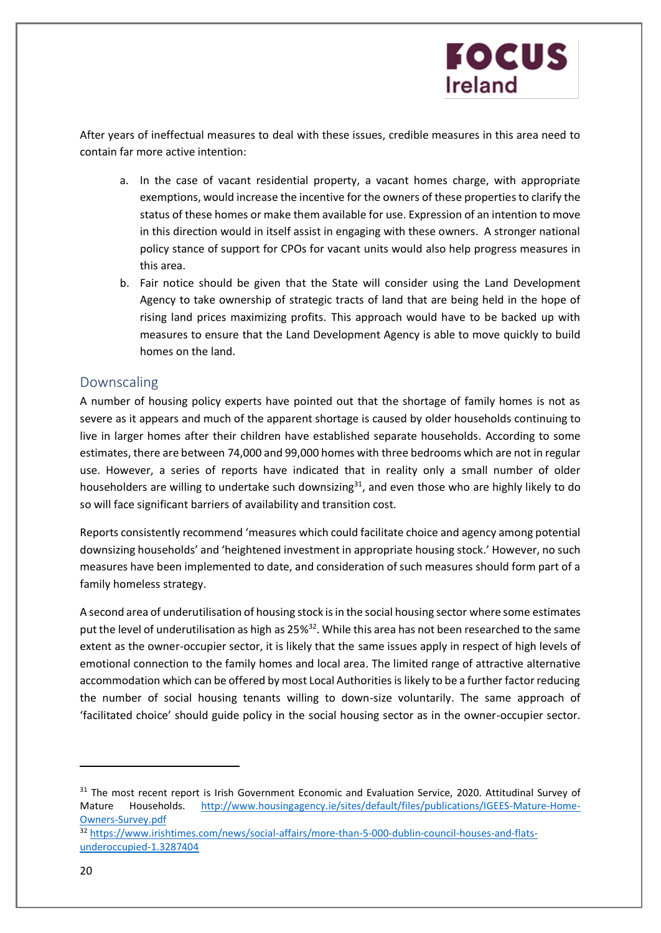After years of ineffectual measures to deal with these issues, credible measures in this area need to contain far more active intention:

- a. In the case of vacant residential property, a vacant homes charge, with appropriate exemptions, would increase the incentive for the owners of these properties to clarify the status of these homes or make them available for use. Expression of an intention to move in this direction would in itself assist in engaging with these owners. A stronger national policy stance of support for CPOs for vacant units would also help progress measures in this area.
- b. Fair notice should be given that the State will consider using the Land Development Agency to take ownership of strategic tracts of land that are being held in the hope of rising land prices maximizing profits. This approach would have to be backed up with measures to ensure that the Land Development Agency is able to move quickly to build homes on the land.

#### Downscaling

A number of housing policy experts have pointed out that the shortage of family homes is not as severe as it appears and much of the apparent shortage is caused by older households continuing to live in larger homes after their children have established separate households. According to some estimates, there are between 74,000 and 99,000 homes with three bedrooms which are not in regular use. However, a series of reports have indicated that in reality only a small number of older householders are willing to undertake such downsizing $31$ , and even those who are highly likely to do so will face significant barriers of availability and transition cost.

Reports consistently recommend 'measures which could facilitate choice and agency among potential downsizing households' and 'heightened investment in appropriate housing stock.' However, no such measures have been implemented to date, and consideration of such measures should form part of a family homeless strategy.

A second area of underutilisation of housing stock is in the social housing sector where some estimates put the level of underutilisation as high as 25%<sup>32</sup>. While this area has not been researched to the same extent as the owner-occupier sector, it is likely that the same issues apply in respect of high levels of emotional connection to the family homes and local area. The limited range of attractive alternative accommodation which can be offered by most Local Authorities is likely to be a further factor reducing the number of social housing tenants willing to down-size voluntarily. The same approach of 'facilitated choice' should guide policy in the social housing sector as in the owner-occupier sector.

<sup>31</sup> The most recent report is Irish Government Economic and Evaluation Service, 2020. Attitudinal Survey of Mature Households. [http://www.housingagency.ie/sites/default/files/publications/IGEES-Mature-Home-](http://www.housingagency.ie/sites/default/files/publications/IGEES-Mature-Home-Owners-Survey.pdf)[Owners-Survey.pdf](http://www.housingagency.ie/sites/default/files/publications/IGEES-Mature-Home-Owners-Survey.pdf) <sup>32</sup> [https://www.irishtimes.com/news/social-affairs/more-than-5-000-dublin-council-houses-and-flats](https://www.irishtimes.com/news/social-affairs/more-than-5-000-dublin-council-houses-and-flats-underoccupied-1.3287404)[underoccupied-1.3287404](https://www.irishtimes.com/news/social-affairs/more-than-5-000-dublin-council-houses-and-flats-underoccupied-1.3287404)